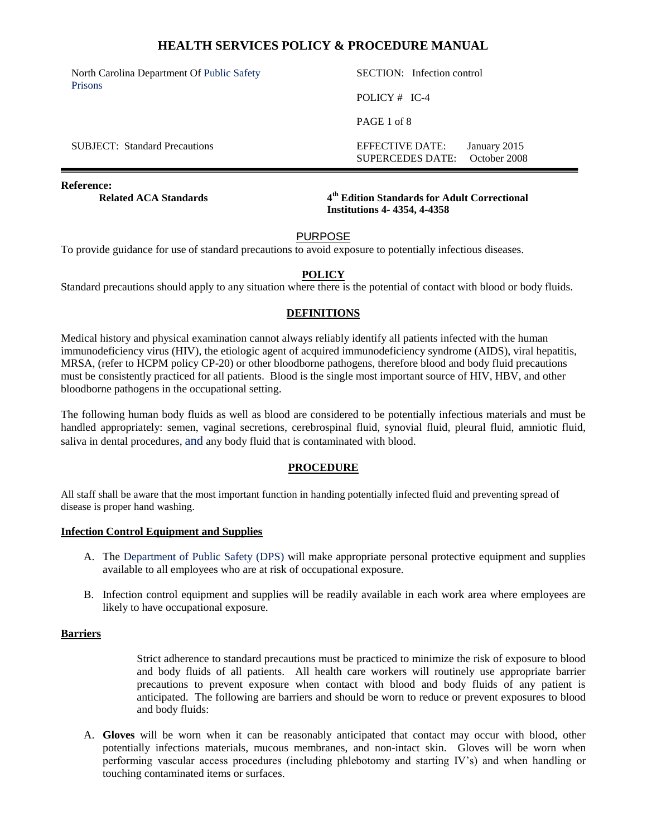North Carolina Department Of Public Safety Prisons

SECTION: Infection control POLICY # IC-4

PAGE 1 of 8

SUBJECT: Standard Precautions **EFFECTIVE DATE:** January 2015 SUPERCEDES DATE: October 2008

#### **Reference:**

**Related ACA Standards** 

**th Edition Standards for Adult Correctional Institutions 4- 4354, 4-4358** 

#### PURPOSE

To provide guidance for use of standard precautions to avoid exposure to potentially infectious diseases.

## **POLICY**

Standard precautions should apply to any situation where there is the potential of contact with blood or body fluids.

### **DEFINITIONS**

Medical history and physical examination cannot always reliably identify all patients infected with the human immunodeficiency virus (HIV), the etiologic agent of acquired immunodeficiency syndrome (AIDS), viral hepatitis, MRSA, (refer to HCPM policy CP-20) or other bloodborne pathogens, therefore blood and body fluid precautions must be consistently practiced for all patients. Blood is the single most important source of HIV, HBV, and other bloodborne pathogens in the occupational setting.

The following human body fluids as well as blood are considered to be potentially infectious materials and must be handled appropriately: semen, vaginal secretions, cerebrospinal fluid, synovial fluid, pleural fluid, amniotic fluid, saliva in dental procedures, and any body fluid that is contaminated with blood.

## **PROCEDURE**

All staff shall be aware that the most important function in handing potentially infected fluid and preventing spread of disease is proper hand washing.

#### **Infection Control Equipment and Supplies**

- A. The Department of Public Safety (DPS) will make appropriate personal protective equipment and supplies available to all employees who are at risk of occupational exposure.
- B. Infection control equipment and supplies will be readily available in each work area where employees are likely to have occupational exposure.

#### **Barriers**

Strict adherence to standard precautions must be practiced to minimize the risk of exposure to blood and body fluids of all patients. All health care workers will routinely use appropriate barrier precautions to prevent exposure when contact with blood and body fluids of any patient is anticipated. The following are barriers and should be worn to reduce or prevent exposures to blood and body fluids:

A. **Gloves** will be worn when it can be reasonably anticipated that contact may occur with blood, other potentially infections materials, mucous membranes, and non-intact skin. Gloves will be worn when performing vascular access procedures (including phlebotomy and starting IV's) and when handling or touching contaminated items or surfaces.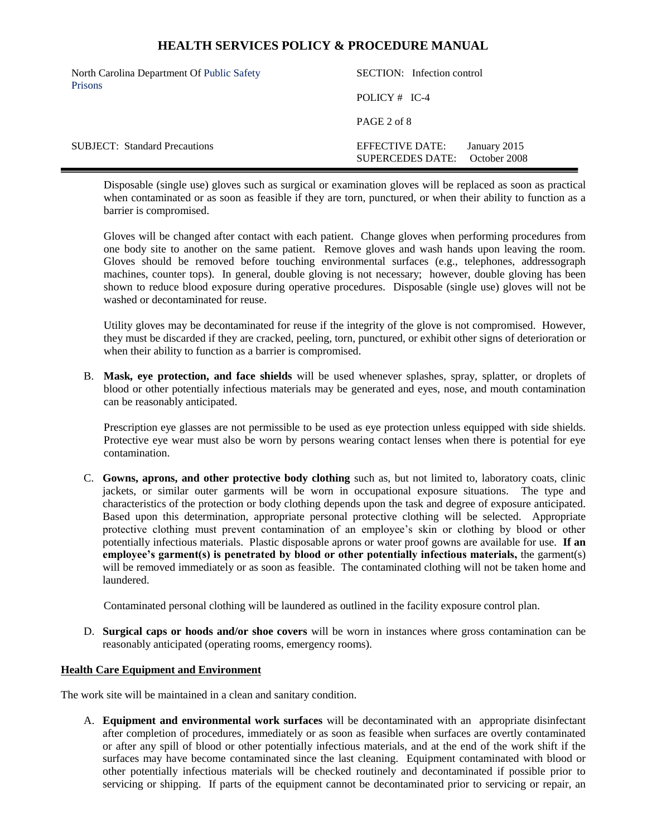| North Carolina Department Of Public Safety<br><b>Prisons</b> | SECTION: Infection control          |  |                              |
|--------------------------------------------------------------|-------------------------------------|--|------------------------------|
|                                                              | POLICY $#$ IC-4                     |  |                              |
|                                                              | PAGE 2 of 8                         |  |                              |
| <b>SUBJECT:</b> Standard Precautions                         | EFFECTIVE DATE:<br>SUPERCEDES DATE: |  | January 2015<br>October 2008 |

Disposable (single use) gloves such as surgical or examination gloves will be replaced as soon as practical when contaminated or as soon as feasible if they are torn, punctured, or when their ability to function as a barrier is compromised.

Gloves will be changed after contact with each patient. Change gloves when performing procedures from one body site to another on the same patient. Remove gloves and wash hands upon leaving the room. Gloves should be removed before touching environmental surfaces (e.g., telephones, addressograph machines, counter tops). In general, double gloving is not necessary; however, double gloving has been shown to reduce blood exposure during operative procedures. Disposable (single use) gloves will not be washed or decontaminated for reuse.

Utility gloves may be decontaminated for reuse if the integrity of the glove is not compromised. However, they must be discarded if they are cracked, peeling, torn, punctured, or exhibit other signs of deterioration or when their ability to function as a barrier is compromised.

B. **Mask, eye protection, and face shields** will be used whenever splashes, spray, splatter, or droplets of blood or other potentially infectious materials may be generated and eyes, nose, and mouth contamination can be reasonably anticipated.

Prescription eye glasses are not permissible to be used as eye protection unless equipped with side shields. Protective eye wear must also be worn by persons wearing contact lenses when there is potential for eye contamination.

C. **Gowns, aprons, and other protective body clothing** such as, but not limited to, laboratory coats, clinic jackets, or similar outer garments will be worn in occupational exposure situations. The type and characteristics of the protection or body clothing depends upon the task and degree of exposure anticipated. Based upon this determination, appropriate personal protective clothing will be selected. Appropriate protective clothing must prevent contamination of an employee's skin or clothing by blood or other potentially infectious materials. Plastic disposable aprons or water proof gowns are available for use. **If an employee's garment(s) is penetrated by blood or other potentially infectious materials,** the garment(s) will be removed immediately or as soon as feasible. The contaminated clothing will not be taken home and laundered.

Contaminated personal clothing will be laundered as outlined in the facility exposure control plan.

D. **Surgical caps or hoods and/or shoe covers** will be worn in instances where gross contamination can be reasonably anticipated (operating rooms, emergency rooms).

#### **Health Care Equipment and Environment**

The work site will be maintained in a clean and sanitary condition.

A. **Equipment and environmental work surfaces** will be decontaminated with an appropriate disinfectant after completion of procedures, immediately or as soon as feasible when surfaces are overtly contaminated or after any spill of blood or other potentially infectious materials, and at the end of the work shift if the surfaces may have become contaminated since the last cleaning. Equipment contaminated with blood or other potentially infectious materials will be checked routinely and decontaminated if possible prior to servicing or shipping. If parts of the equipment cannot be decontaminated prior to servicing or repair, an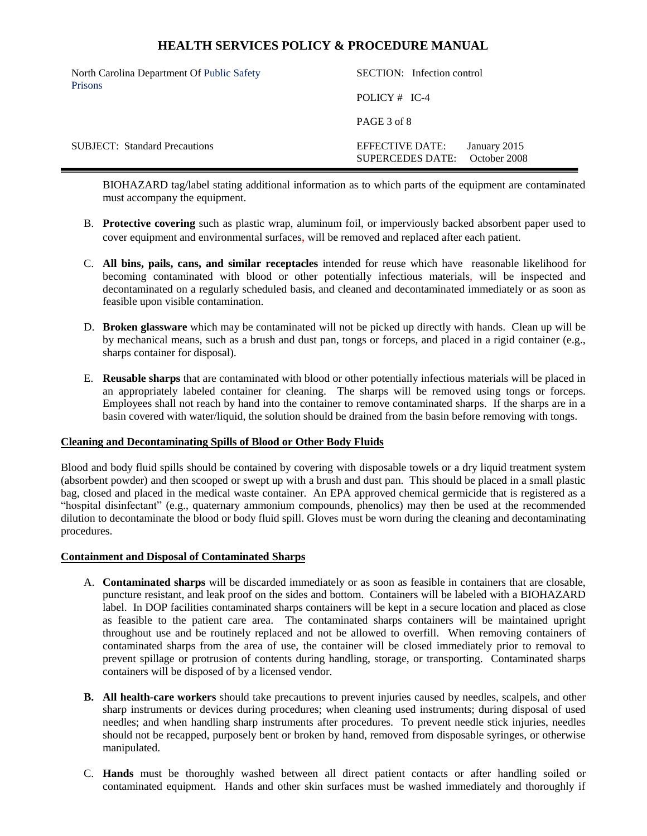| North Carolina Department Of Public Safety<br><b>Prisons</b> | SECTION: Infection control          |                              |  |
|--------------------------------------------------------------|-------------------------------------|------------------------------|--|
|                                                              | POLICY $#$ IC-4                     |                              |  |
|                                                              | PAGE 3 of 8                         |                              |  |
| <b>SUBJECT:</b> Standard Precautions                         | EFFECTIVE DATE:<br>SUPERCEDES DATE: | January 2015<br>October 2008 |  |

BIOHAZARD tag/label stating additional information as to which parts of the equipment are contaminated must accompany the equipment.

- B. **Protective covering** such as plastic wrap, aluminum foil, or imperviously backed absorbent paper used to cover equipment and environmental surfaces, will be removed and replaced after each patient.
- C. **All bins, pails, cans, and similar receptacles** intended for reuse which have reasonable likelihood for becoming contaminated with blood or other potentially infectious materials, will be inspected and decontaminated on a regularly scheduled basis, and cleaned and decontaminated immediately or as soon as feasible upon visible contamination.
- D. **Broken glassware** which may be contaminated will not be picked up directly with hands. Clean up will be by mechanical means, such as a brush and dust pan, tongs or forceps, and placed in a rigid container (e.g., sharps container for disposal).
- E. **Reusable sharps** that are contaminated with blood or other potentially infectious materials will be placed in an appropriately labeled container for cleaning. The sharps will be removed using tongs or forceps. Employees shall not reach by hand into the container to remove contaminated sharps. If the sharps are in a basin covered with water/liquid, the solution should be drained from the basin before removing with tongs.

#### **Cleaning and Decontaminating Spills of Blood or Other Body Fluids**

Blood and body fluid spills should be contained by covering with disposable towels or a dry liquid treatment system (absorbent powder) and then scooped or swept up with a brush and dust pan. This should be placed in a small plastic bag, closed and placed in the medical waste container. An EPA approved chemical germicide that is registered as a "hospital disinfectant" (e.g., quaternary ammonium compounds, phenolics) may then be used at the recommended dilution to decontaminate the blood or body fluid spill. Gloves must be worn during the cleaning and decontaminating procedures.

## **Containment and Disposal of Contaminated Sharps**

- A. **Contaminated sharps** will be discarded immediately or as soon as feasible in containers that are closable, puncture resistant, and leak proof on the sides and bottom. Containers will be labeled with a BIOHAZARD label. In DOP facilities contaminated sharps containers will be kept in a secure location and placed as close as feasible to the patient care area. The contaminated sharps containers will be maintained upright throughout use and be routinely replaced and not be allowed to overfill. When removing containers of contaminated sharps from the area of use, the container will be closed immediately prior to removal to prevent spillage or protrusion of contents during handling, storage, or transporting. Contaminated sharps containers will be disposed of by a licensed vendor.
- **B. All health-care workers** should take precautions to prevent injuries caused by needles, scalpels, and other sharp instruments or devices during procedures; when cleaning used instruments; during disposal of used needles; and when handling sharp instruments after procedures. To prevent needle stick injuries, needles should not be recapped, purposely bent or broken by hand, removed from disposable syringes, or otherwise manipulated.
- C. **Hands** must be thoroughly washed between all direct patient contacts or after handling soiled or contaminated equipment. Hands and other skin surfaces must be washed immediately and thoroughly if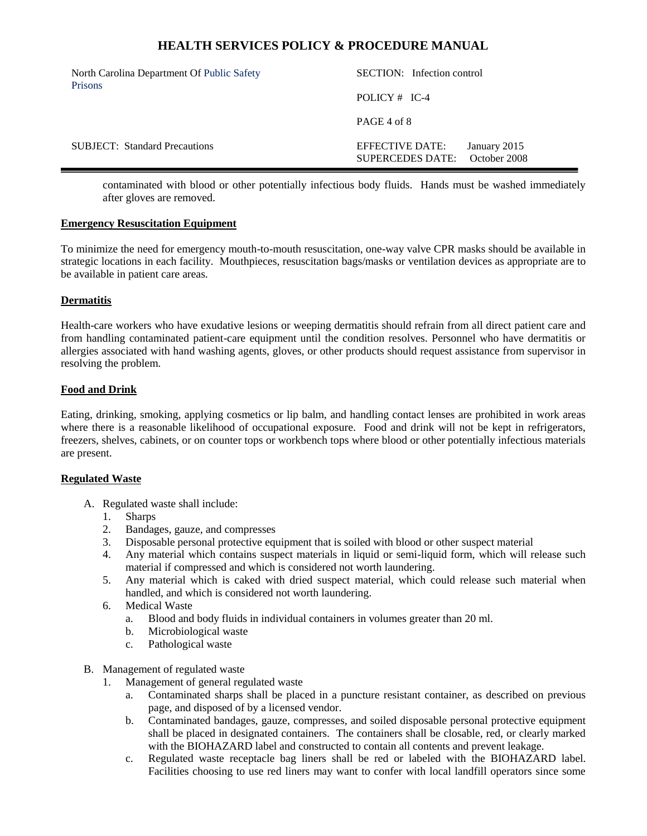| North Carolina Department Of Public Safety<br><b>Prisons</b> | SECTION: Infection control                                                 |  |  |
|--------------------------------------------------------------|----------------------------------------------------------------------------|--|--|
|                                                              | POLICY $#$ IC-4                                                            |  |  |
|                                                              | PAGE 4 of 8                                                                |  |  |
| <b>SUBJECT:</b> Standard Precautions                         | EFFECTIVE DATE:<br>January 2015<br>October 2008<br><b>SUPERCEDES DATE:</b> |  |  |

contaminated with blood or other potentially infectious body fluids. Hands must be washed immediately after gloves are removed.

## **Emergency Resuscitation Equipment**

To minimize the need for emergency mouth-to-mouth resuscitation, one-way valve CPR masks should be available in strategic locations in each facility. Mouthpieces, resuscitation bags/masks or ventilation devices as appropriate are to be available in patient care areas.

## **Dermatitis**

Health-care workers who have exudative lesions or weeping dermatitis should refrain from all direct patient care and from handling contaminated patient-care equipment until the condition resolves. Personnel who have dermatitis or allergies associated with hand washing agents, gloves, or other products should request assistance from supervisor in resolving the problem.

### **Food and Drink**

Eating, drinking, smoking, applying cosmetics or lip balm, and handling contact lenses are prohibited in work areas where there is a reasonable likelihood of occupational exposure. Food and drink will not be kept in refrigerators, freezers, shelves, cabinets, or on counter tops or workbench tops where blood or other potentially infectious materials are present.

#### **Regulated Waste**

- A. Regulated waste shall include:
	- 1. Sharps
	- 2. Bandages, gauze, and compresses
	- 3. Disposable personal protective equipment that is soiled with blood or other suspect material
	- 4. Any material which contains suspect materials in liquid or semi-liquid form, which will release such material if compressed and which is considered not worth laundering.
	- 5. Any material which is caked with dried suspect material, which could release such material when handled, and which is considered not worth laundering.
	- 6. Medical Waste
		- a. Blood and body fluids in individual containers in volumes greater than 20 ml.
		- b. Microbiological waste
		- c. Pathological waste
- B. Management of regulated waste
	- 1. Management of general regulated waste
		- a. Contaminated sharps shall be placed in a puncture resistant container, as described on previous page, and disposed of by a licensed vendor.
		- b. Contaminated bandages, gauze, compresses, and soiled disposable personal protective equipment shall be placed in designated containers. The containers shall be closable, red, or clearly marked with the BIOHAZARD label and constructed to contain all contents and prevent leakage.
		- c. Regulated waste receptacle bag liners shall be red or labeled with the BIOHAZARD label. Facilities choosing to use red liners may want to confer with local landfill operators since some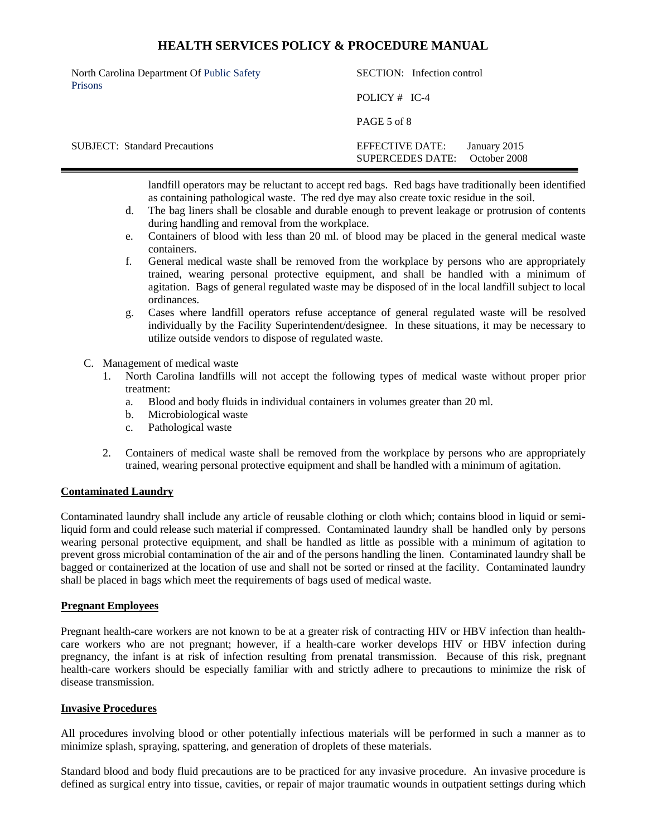| North Carolina Department Of Public Safety<br><b>Prisons</b> | SECTION: Infection control          |  |                              |
|--------------------------------------------------------------|-------------------------------------|--|------------------------------|
|                                                              | POLICY $#$ IC-4                     |  |                              |
|                                                              | PAGE 5 of 8                         |  |                              |
| <b>SUBJECT:</b> Standard Precautions                         | EFFECTIVE DATE:<br>SUPERCEDES DATE: |  | January 2015<br>October 2008 |

landfill operators may be reluctant to accept red bags. Red bags have traditionally been identified as containing pathological waste. The red dye may also create toxic residue in the soil.

- d. The bag liners shall be closable and durable enough to prevent leakage or protrusion of contents during handling and removal from the workplace.
- e. Containers of blood with less than 20 ml. of blood may be placed in the general medical waste containers.
- f. General medical waste shall be removed from the workplace by persons who are appropriately trained, wearing personal protective equipment, and shall be handled with a minimum of agitation. Bags of general regulated waste may be disposed of in the local landfill subject to local ordinances.
- g. Cases where landfill operators refuse acceptance of general regulated waste will be resolved individually by the Facility Superintendent/designee. In these situations, it may be necessary to utilize outside vendors to dispose of regulated waste.
- C. Management of medical waste
	- 1. North Carolina landfills will not accept the following types of medical waste without proper prior treatment:
		- a. Blood and body fluids in individual containers in volumes greater than 20 ml.
		- b. Microbiological waste
		- c. Pathological waste
	- 2. Containers of medical waste shall be removed from the workplace by persons who are appropriately trained, wearing personal protective equipment and shall be handled with a minimum of agitation.

## **Contaminated Laundry**

Contaminated laundry shall include any article of reusable clothing or cloth which; contains blood in liquid or semiliquid form and could release such material if compressed. Contaminated laundry shall be handled only by persons wearing personal protective equipment, and shall be handled as little as possible with a minimum of agitation to prevent gross microbial contamination of the air and of the persons handling the linen. Contaminated laundry shall be bagged or containerized at the location of use and shall not be sorted or rinsed at the facility. Contaminated laundry shall be placed in bags which meet the requirements of bags used of medical waste.

#### **Pregnant Employees**

Pregnant health-care workers are not known to be at a greater risk of contracting HIV or HBV infection than healthcare workers who are not pregnant; however, if a health-care worker develops HIV or HBV infection during pregnancy, the infant is at risk of infection resulting from prenatal transmission. Because of this risk, pregnant health-care workers should be especially familiar with and strictly adhere to precautions to minimize the risk of disease transmission.

#### **Invasive Procedures**

All procedures involving blood or other potentially infectious materials will be performed in such a manner as to minimize splash, spraying, spattering, and generation of droplets of these materials.

Standard blood and body fluid precautions are to be practiced for any invasive procedure. An invasive procedure is defined as surgical entry into tissue, cavities, or repair of major traumatic wounds in outpatient settings during which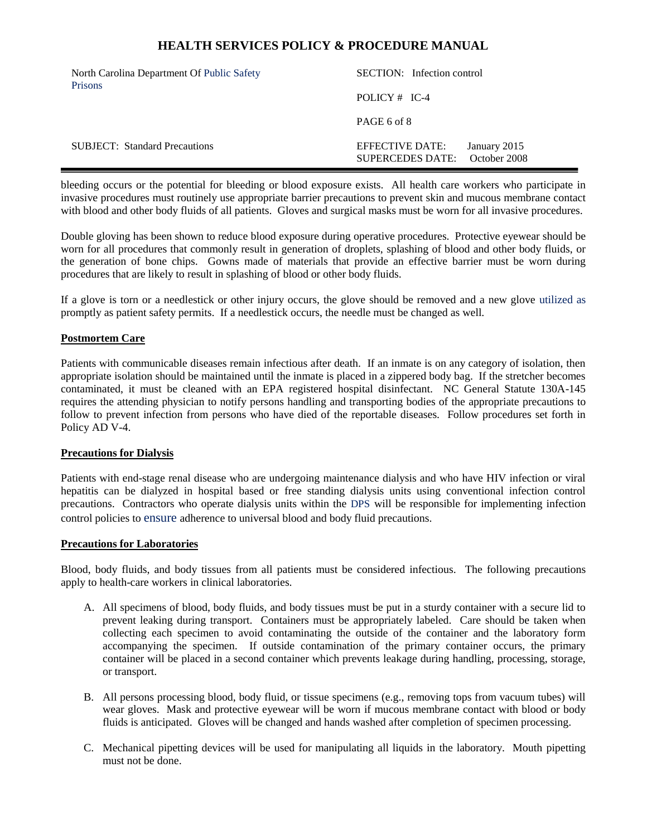| North Carolina Department Of Public Safety<br><b>Prisons</b> | SECTION: Infection control          |                              |  |
|--------------------------------------------------------------|-------------------------------------|------------------------------|--|
|                                                              | POLICY $#$ IC-4                     |                              |  |
|                                                              | PAGE 6 of 8                         |                              |  |
| <b>SUBJECT:</b> Standard Precautions                         | EFFECTIVE DATE:<br>SUPERCEDES DATE: | January 2015<br>October 2008 |  |

bleeding occurs or the potential for bleeding or blood exposure exists. All health care workers who participate in invasive procedures must routinely use appropriate barrier precautions to prevent skin and mucous membrane contact with blood and other body fluids of all patients. Gloves and surgical masks must be worn for all invasive procedures.

Double gloving has been shown to reduce blood exposure during operative procedures. Protective eyewear should be worn for all procedures that commonly result in generation of droplets, splashing of blood and other body fluids, or the generation of bone chips. Gowns made of materials that provide an effective barrier must be worn during procedures that are likely to result in splashing of blood or other body fluids.

If a glove is torn or a needlestick or other injury occurs, the glove should be removed and a new glove utilized as promptly as patient safety permits. If a needlestick occurs, the needle must be changed as well.

### **Postmortem Care**

Patients with communicable diseases remain infectious after death. If an inmate is on any category of isolation, then appropriate isolation should be maintained until the inmate is placed in a zippered body bag. If the stretcher becomes contaminated, it must be cleaned with an EPA registered hospital disinfectant. NC General Statute 130A-145 requires the attending physician to notify persons handling and transporting bodies of the appropriate precautions to follow to prevent infection from persons who have died of the reportable diseases. Follow procedures set forth in Policy AD V-4.

### **Precautions for Dialysis**

Patients with end-stage renal disease who are undergoing maintenance dialysis and who have HIV infection or viral hepatitis can be dialyzed in hospital based or free standing dialysis units using conventional infection control precautions. Contractors who operate dialysis units within the DPS will be responsible for implementing infection control policies to ensure adherence to universal blood and body fluid precautions.

#### **Precautions for Laboratories**

Blood, body fluids, and body tissues from all patients must be considered infectious. The following precautions apply to health-care workers in clinical laboratories.

- A. All specimens of blood, body fluids, and body tissues must be put in a sturdy container with a secure lid to prevent leaking during transport. Containers must be appropriately labeled. Care should be taken when collecting each specimen to avoid contaminating the outside of the container and the laboratory form accompanying the specimen. If outside contamination of the primary container occurs, the primary container will be placed in a second container which prevents leakage during handling, processing, storage, or transport.
- B. All persons processing blood, body fluid, or tissue specimens (e.g., removing tops from vacuum tubes) will wear gloves. Mask and protective eyewear will be worn if mucous membrane contact with blood or body fluids is anticipated. Gloves will be changed and hands washed after completion of specimen processing.
- C. Mechanical pipetting devices will be used for manipulating all liquids in the laboratory. Mouth pipetting must not be done.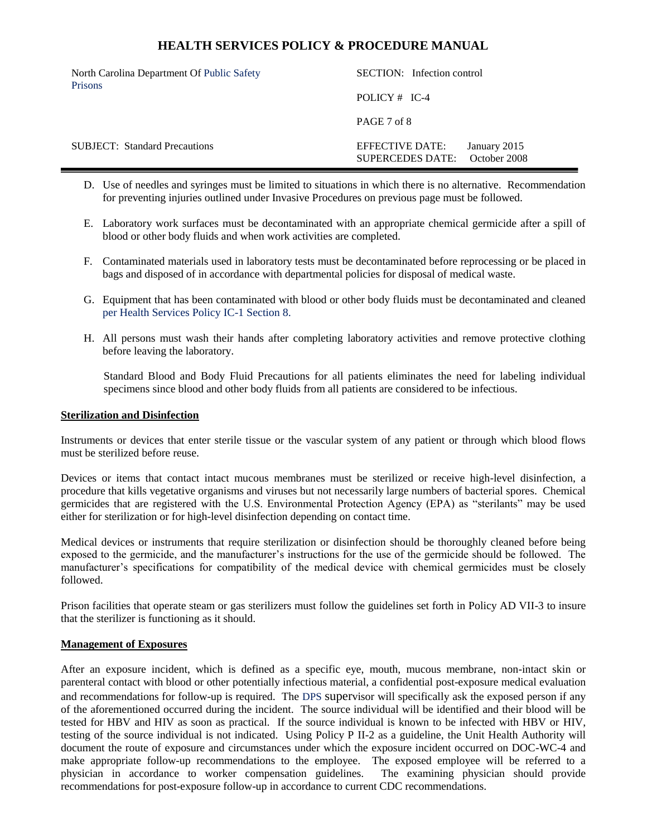| North Carolina Department Of Public Safety<br><b>Prisons</b> | SECTION: Infection control          |  |                              |
|--------------------------------------------------------------|-------------------------------------|--|------------------------------|
|                                                              | POLICY $#$ IC-4                     |  |                              |
|                                                              | PAGE 7 of 8                         |  |                              |
| <b>SUBJECT:</b> Standard Precautions                         | EFFECTIVE DATE:<br>SUPERCEDES DATE: |  | January 2015<br>October 2008 |

- D. Use of needles and syringes must be limited to situations in which there is no alternative. Recommendation for preventing injuries outlined under Invasive Procedures on previous page must be followed.
- E. Laboratory work surfaces must be decontaminated with an appropriate chemical germicide after a spill of blood or other body fluids and when work activities are completed.
- F. Contaminated materials used in laboratory tests must be decontaminated before reprocessing or be placed in bags and disposed of in accordance with departmental policies for disposal of medical waste.
- G. Equipment that has been contaminated with blood or other body fluids must be decontaminated and cleaned per Health Services Policy IC-1 Section 8.
- H. All persons must wash their hands after completing laboratory activities and remove protective clothing before leaving the laboratory.

Standard Blood and Body Fluid Precautions for all patients eliminates the need for labeling individual specimens since blood and other body fluids from all patients are considered to be infectious.

#### **Sterilization and Disinfection**

Instruments or devices that enter sterile tissue or the vascular system of any patient or through which blood flows must be sterilized before reuse.

Devices or items that contact intact mucous membranes must be sterilized or receive high-level disinfection, a procedure that kills vegetative organisms and viruses but not necessarily large numbers of bacterial spores. Chemical germicides that are registered with the U.S. Environmental Protection Agency (EPA) as "sterilants" may be used either for sterilization or for high-level disinfection depending on contact time.

Medical devices or instruments that require sterilization or disinfection should be thoroughly cleaned before being exposed to the germicide, and the manufacturer's instructions for the use of the germicide should be followed. The manufacturer's specifications for compatibility of the medical device with chemical germicides must be closely followed.

Prison facilities that operate steam or gas sterilizers must follow the guidelines set forth in Policy AD VII-3 to insure that the sterilizer is functioning as it should.

#### **Management of Exposures**

After an exposure incident, which is defined as a specific eye, mouth, mucous membrane, non-intact skin or parenteral contact with blood or other potentially infectious material, a confidential post-exposure medical evaluation and recommendations for follow-up is required. The DPS supervisor will specifically ask the exposed person if any of the aforementioned occurred during the incident. The source individual will be identified and their blood will be tested for HBV and HIV as soon as practical. If the source individual is known to be infected with HBV or HIV, testing of the source individual is not indicated. Using Policy P II-2 as a guideline, the Unit Health Authority will document the route of exposure and circumstances under which the exposure incident occurred on DOC-WC-4 and make appropriate follow-up recommendations to the employee. The exposed employee will be referred to a physician in accordance to worker compensation guidelines. The examining physician should provide physician in accordance to worker compensation guidelines. recommendations for post-exposure follow-up in accordance to current CDC recommendations.